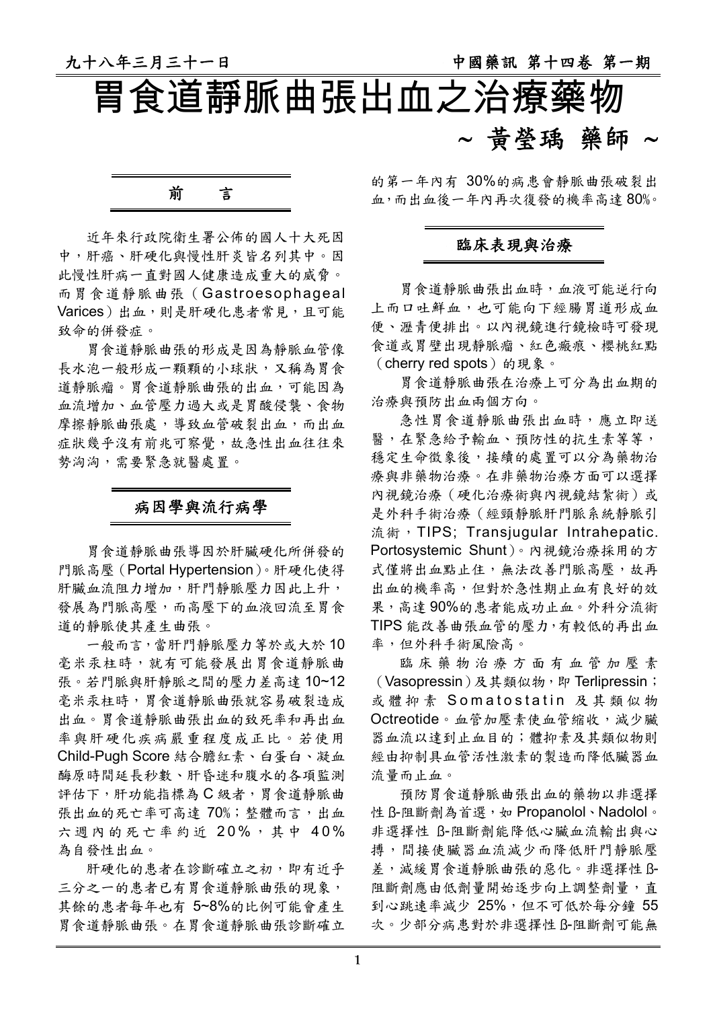# 胃食道靜脈曲張出血之治療藥物 ∼ 黃瑩瑀 藥師 ∼



近年來行政院衛生署公佈的國人十大死因 中,肝癌、肝硬化與慢性肝炎皆名列其中。因 此慢性肝病一直對國人健康造成重大的威脅。 而胃食道靜脈曲張(Gastroesophageal Varices)出血,則是肝硬化患者常見,且可能 致命的併發症。

胃食道靜脈曲張的形成是因為靜脈血管像 長水泡一般形成一顆顆的小球狀,又稱為胃食 道靜脈瘤。胃食道靜脈曲張的出血,可能因為 血流增加、血管壓力過大或是胃酸侵襲、食物 摩擦靜脈曲張處,導致血管破裂出血,而出血 症狀幾乎沒有前兆可察覺,故急性出血往往來 勢洶洶,需要緊急就醫處置。

### 病因學與流行病學

胃食道靜脈曲張導因於肝臟硬化所併發的 門脈高壓(Portal Hypertension)。肝硬化使得 肝臟血流阻力增加,肝門靜脈壓力因此上升, 發展為門脈高壓,而高壓下的血液回流至胃食 道的靜脈使其產生曲張。

一般而言,當肝門靜脈壓力等於或大於 10 毫米汞柱時,就有可能發展出胃食道靜脈曲 張。若門脈與肝靜脈之間的壓力差高達 10~12 毫米汞柱時,胃食道靜脈曲張就容易破裂造成 出血。胃食道靜脈曲張出血的致死率和再出血 率與肝硬化疾病嚴重程度成正比。若使用 Child-Pugh Score 結合膽紅素、白蛋白、凝血 酶原時間延長秒數、肝昏迷和腹水的各項監測 評估下,肝功能指標為 C 級者,胃食道靜脈曲 張出血的死亡率可高達 70%;整體而言,出血 六週內的死亡率約近 20%,其中 40% 為自發性出血。

肝硬化的患者在診斷確立之初,即有近乎 三分之一的患者已有胃食道靜脈曲張的現象, 其餘的患者每年也有 5~8%的比例可能會產生 胃食道靜脈曲張。在胃食道靜脈曲張診斷確立 的第一年內有 30%的病患會靜脈曲張破裂出 血,而出血後一年內再次復發的機率高達 80%。

#### 臨床表現與治療

胃食道靜脈曲張出血時,血液可能逆行向 上而口吐鮮血,也可能向下經腸胃道形成血 便、瀝青便排出。以內視鏡進行鏡檢時可發現 食道或胃壁出現靜脈瘤、紅色瘢痕、櫻桃紅點 (cherry red spots)的現象。

胃食道靜脈曲張在治療上可分為出血期的 治療與預防出血兩個方向。

急性胃食道靜脈曲張出血時,應立即送 醫,在緊急給予輸血、預防性的抗生素等等, 穩定生命徵象後,接續的處置可以分為藥物治 療與非藥物治療。在非藥物治療方面可以選擇 內視鏡治療(硬化治療術與內視鏡結紮術)或 是外科手術治療(經頸靜脈肝門脈系統靜脈引 流術, TIPS; Transjugular Intrahepatic. Portosystemic Shunt)。內視鏡治療採用的方 式僅將出血點止住,無法改善門脈高壓,故再 出血的機率高,但對於急性期止血有良好的效 果,高達 90%的患者能成功止血。外科分流術 TIPS 能改善曲張血管的壓力,有較低的再出血 率,但外科手術風險高。

臨床藥物治療方面有血管加壓素 (Vasopressin)及其類似物,即 Terlipressin; 或體抑素 Somatostatin 及其類似物 Octreotide。血管加壓素使血管縮收,減少臟 器血流以達到止血目的;體抑素及其類似物則 經由抑制具血管活性激素的製造而降低臟器血 流量而止血。

預防胃食道靜脈曲張出血的藥物以非選擇 性 ß-阻斷劑為首選,如 Propanolol、Nadolol。 非選擇性 ß-阻斷劑能降低心臟血流輸出與心 搏,間接使臟器血流減少而降低肝門靜脈壓 差,減緩胃食道靜脈曲張的惡化。非選擇性 ß-阻斷劑應由低劑量開始逐步向上調整劑量,直 到心跳速率减少 25%,但不可低於每分鐘 55 次。少部分病患對於非選擇性 ß-阻斷劑可能無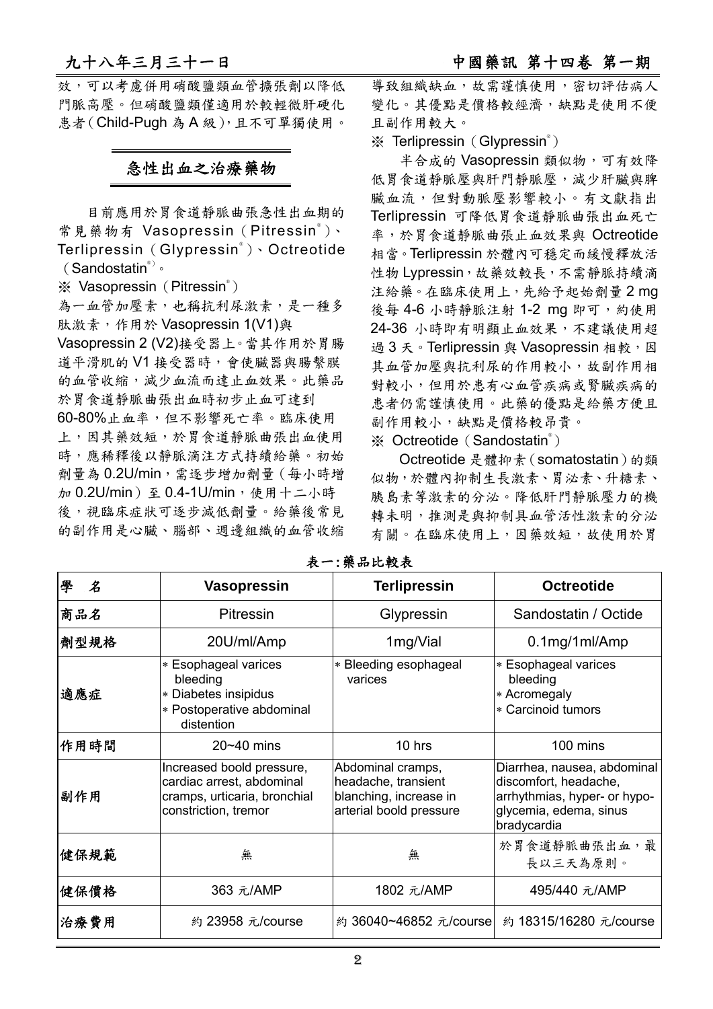效,可以考慮併用硝酸鹽類血管擴張劑以降低 門脈高壓。但硝酸鹽類僅適用於較輕微肝硬化 患者(Child-Pugh 為 A 級),且不可單獨使用。

### 急性出血之治療藥物

目前應用於胃食道靜脈曲張急性出血期的 常見藥物有 Vasopressin (Pitressin®)、 Terlipressin(Glypressin® )、Octreotide (Sandostatin®) 。

※ Vasopressin (Pitressin®)

為一血管加壓素,也稱抗利尿激素,是一種多 肽激素,作用於 Vasopressin 1(V1)與

Vasopressin 2 (V2)接受器上。當其作用於胃腸 道平滑肌的 V1 接受器時,會使臟器與腸繫膜 的血管收縮,減少血流而達止血效果。此藥品 於胃食道靜脈曲張出血時初步止血可達到

60-80%止血率,但不影響死亡率。臨床使用 上,因其藥效短,於胃食道靜脈曲張出血使用 時,應稀釋後以靜脈滴注方式持續給藥。初始 劑量為 0.2U/min,需逐步增加劑量(每小時增 加 0.2U/min)至 0.4-1U/min,使用十二小時 後,視臨床症狀可逐步減低劑量。給藥後常見 的副作用是心臟、腦部、週邊組織的血管收縮

導致組織缺血,故需謹慎使用,密切評估病人 變化。其優點是價格較經濟,缺點是使用不便 且副作用較大。

※ Terlipressin (Glypressin®)

半合成的 Vasopressin 類似物,可有效降 低胃食道靜脈壓與肝門靜脈壓,減少肝臟與脾 臟血流,但對動脈壓影響較小。有文獻指出 Terlipressin 可降低胃食道靜脈曲張出血死亡 率,於胃食道靜脈曲張止血效果與 Octreotide 相當。Terlipressin 於體內可穩定而緩慢釋放活 性物 Lypressin,故藥效較長,不需靜脈持續滴 注給藥。在臨床使用上,先給予起始劑量 2 mg 後每 4-6 小時靜脈注射 1-2 mg 即可, 約使用 24-36 小時即有明顯止血效果,不建議使用超 過3天。Terlipressin 與 Vasopressin 相較,因 其血管加壓與抗利尿的作用較小,故副作用相 對較小,但用於患有心血管疾病或腎臟疾病的 患者仍需謹慎使用。此藥的優點是給藥方便且 副作用較小,缺點是價格較昂貴。

※ Octreotide (Sandostatin<sup>®</sup>)

Octreotide 是體抑素(somatostatin)的類 似物,於體內抑制生長激素、胃泌素、升糖素、 胰島素等激素的分泌。降低肝門靜脈壓力的機 轉未明,推測是與抑制具血管活性激素的分泌 有關。在臨床使用上,因藥效短,故使用於胃

| 學<br>$\boldsymbol{\mathcal{Z}}$ | <b>Vasopressin</b>                                                                                             | <b>Terlipressin</b>                                                                           | <b>Octreotide</b>                                                                                                             |
|---------------------------------|----------------------------------------------------------------------------------------------------------------|-----------------------------------------------------------------------------------------------|-------------------------------------------------------------------------------------------------------------------------------|
| 商品名                             | <b>Pitressin</b>                                                                                               | Glypressin                                                                                    | Sandostatin / Octide                                                                                                          |
| 劑型規格                            | 20U/ml/Amp                                                                                                     | 1mg/Vial                                                                                      | $0.1$ mg/1ml/Amp                                                                                                              |
| 適應症                             | * Esophageal varices<br>bleeding<br>* Diabetes insipidus<br>* Postoperative abdominal<br>distention            | * Bleeding esophageal<br>varices                                                              | * Esophageal varices<br>bleeding<br>* Acromegaly<br>* Carcinoid tumors                                                        |
| 作用時間                            | $20 - 40$ mins                                                                                                 | 10 hrs                                                                                        | 100 mins                                                                                                                      |
| 副作用                             | Increased boold pressure,<br>cardiac arrest, abdominal<br>cramps, urticaria, bronchial<br>constriction, tremor | Abdominal cramps,<br>headache, transient<br>blanching, increase in<br>arterial boold pressure | Diarrhea, nausea, abdominal<br>discomfort, headache,<br>arrhythmias, hyper- or hypo-<br>glycemia, edema, sinus<br>bradycardia |
| 健保規範                            | 無                                                                                                              | 無                                                                                             | 於胃食道靜脈曲張出血,最<br>長以三天為原則。                                                                                                      |
| 健保價格                            | 363 元/AMP                                                                                                      | 1802 元/AMP                                                                                    | 495/440 元/AMP                                                                                                                 |
| 治療費用                            | 約 23958 元/course                                                                                               | 約 36040~46852 元/course                                                                        | 約 18315/16280 元/course                                                                                                        |

表一:藥品比較表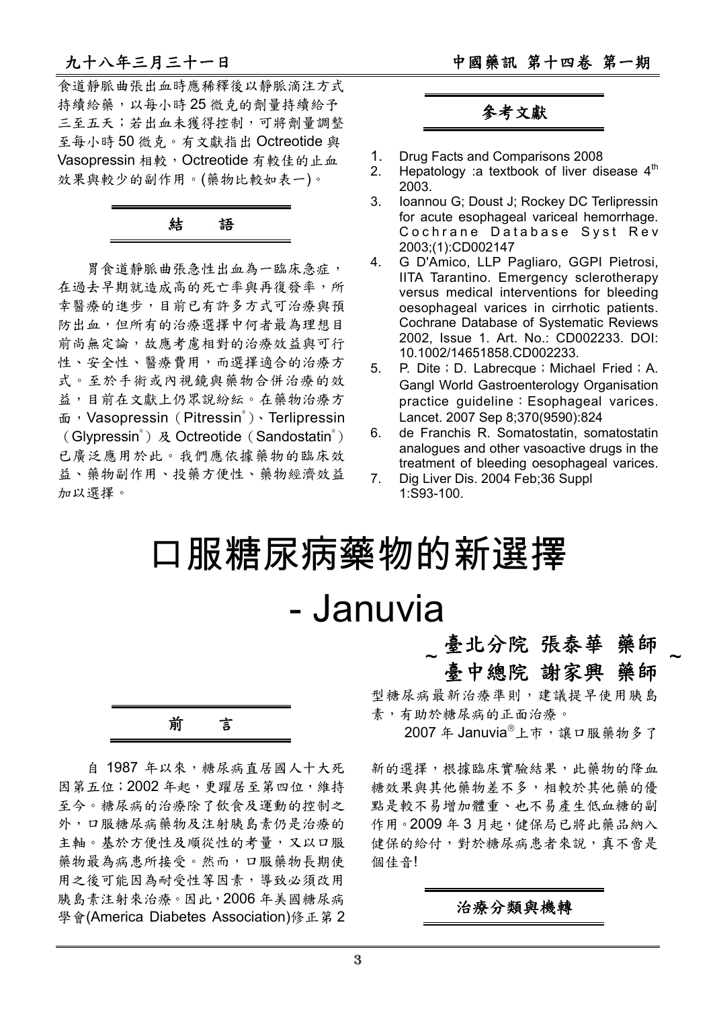食道靜脈曲張出血時應稀釋後以靜脈滴注方式 持續給藥,以每小時 25 微克的劑量持續給予 三至五天;若出血未獲得控制,可將劑量調整 至每小時 50 微克。有文獻指出 Octreotide 與 Vasopressin 相較, Octreotide 有較佳的止血 效果與較少的副作用。(藥物比較如表一)。

## 結語

胃食道靜脈曲張急性出血為一臨床急症, 在過去早期就造成高的死亡率與再復發率,所 幸醫療的進步,目前已有許多方式可治療與預 防出血,但所有的治療選擇中何者最為理想目 前尚無定論,故應考慮相對的治療效益與可行 性、安全性、醫療費用,而選擇適合的治療方 式。至於手術或內視鏡與藥物合併治療的效 益,目前在文獻上仍眾說紛紜。在藥物治療方 面, Vasopressin (Pitressin®) 、Terlipressin (Glypressin<sup>®</sup>) 及 Octreotide (Sandostatin<sup>®</sup>) 已廣泛應用於此。我們應依據藥物的臨床效 益、藥物副作用、投藥方便性、藥物經濟效益 加以選擇。

## 參考文獻

- 1. Drug Facts and Comparisons 2008
- 2. Hepatology : a textbook of liver disease  $4<sup>th</sup>$ 2003.
- 3. Ioannou G; Doust J; Rockey DC Terlipressin for acute esophageal variceal hemorrhage. Cochrane Database Syst Rev 2003;(1):CD002147
- 4. G D'Amico, LLP Pagliaro, GGPI Pietrosi, IITA Tarantino. Emergency sclerotherapy versus medical interventions for bleeding oesophageal varices in cirrhotic patients. Cochrane Database of Systematic Reviews 2002, Issue 1. Art. No.: CD002233. DOI: 10.1002/14651858.CD002233.
- 5. P. Dite; D. Labrecque; Michael Fried; A. Gangl World Gastroenterology Organisation practice guideline: Esophageal varices. Lancet. 2007 Sep 8;370(9590):824
- 6. de Franchis R. Somatostatin, somatostatin analogues and other vasoactive drugs in the treatment of bleeding oesophageal varices.
- 7. Dig Liver Dis. 2004 Feb;36 Suppl 1:S93-100.

# 口服糖尿病藥物的新選擇 - Januvia

前言

自 1987 年以來,糖尿病直居國人十大死 因第五位;2002年起,更躍居至第四位,維持 至今。糖尿病的治療除了飲食及運動的控制之 外,口服糖尿病藥物及注射胰島素仍是治療的 主軸。基於方便性及順從性的考量,又以口服 藥物最為病患所接受。然而,口服藥物長期使 用之後可能因為耐受性等因素,導致必須改用 胰島素注射來治療。因此,2006 年美國糖尿病 學會(America Diabetes Association)修正第 2

### 臺北分院 張泰華  $\sim$   $\frac{2}{\pi}$   $\frac{1}{\pi}$   $\frac{1}{\pi}$   $\frac{1}{\pi}$   $\frac{1}{\pi}$   $\frac{1}{\pi}$   $\frac{1}{\pi}$   $\frac{1}{\pi}$   $\frac{1}{\pi}$   $\frac{1}{\pi}$   $\frac{1}{\pi}$   $\frac{1}{\pi}$   $\frac{1}{\pi}$   $\frac{1}{\pi}$   $\frac{1}{\pi}$   $\frac{1}{\pi}$   $\frac{1}{\pi}$   $\frac{1}{\pi}$   $\frac{1}{\pi}$   $\frac{1}{\$

臺中總院 謝家興 藥師<br>型糖尿病最新治療準則,建議提早使用胰島 型糖尿病最新治療準則,建議提早使用胰島 素,有助於糖尿病的正面治療。

2007年 Januvia<sup>®</sup>上市,讓口服藥物多了

新的選擇,根據臨床實驗結果,此藥物的降血 糖效果與其他藥物差不多,相較於其他藥的優 點是較不易增加體重、也不易產生低血糖的副 作用。2009年3月起,健保局已將此藥品納入 健保的給付,對於糖尿病患者來說,真不啻是 個佳音!

#### 治療分類與機轉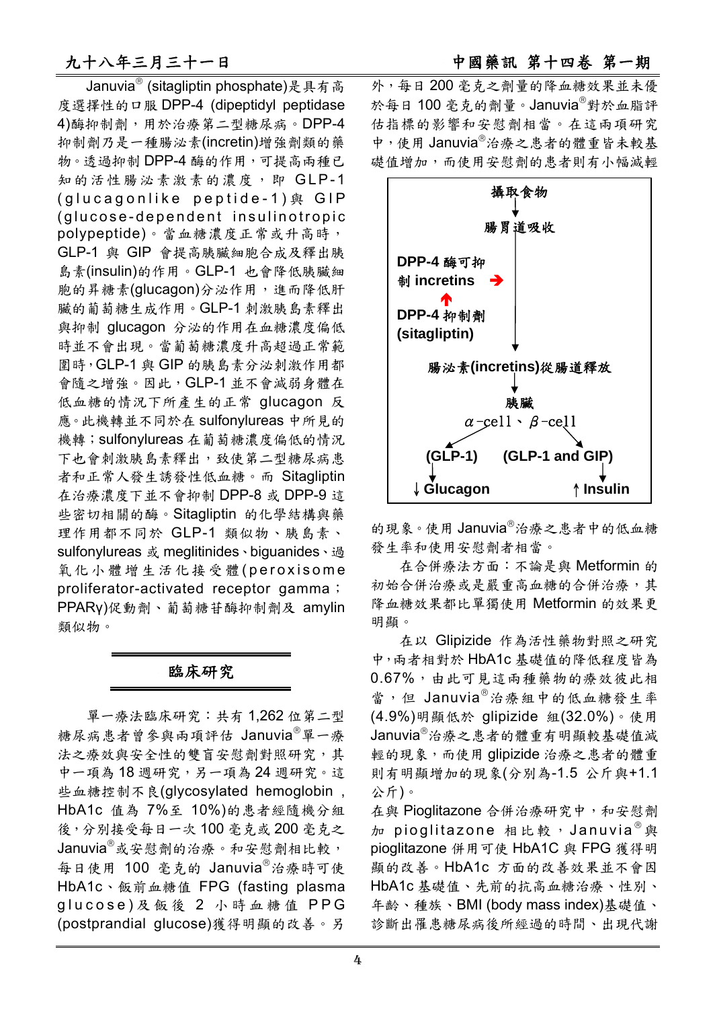Januvia® (sitagliptin phosphate)是具有高 度選擇性的口服 DPP-4 (dipeptidyl peptidase 4)酶抑制劑,用於治療第二型糖尿病。DPP-4 抑制劑乃是一種腸泌素(incretin)增強劑類的藥 物。透過抑制 DPP-4 酶的作用,可提高兩種已 知的活性腸泌素激素的濃度,即 GLP-1 (glucagonlike peptide-1)與 GIP (glucose-dependent insulinotropic polypeptide)。當血糖濃度正常或升高時, GLP-1 與 GIP 會提高胰臟細胞合成及釋出胰 島素(insulin)的作用。GLP-1 也會降低胰臟細 胞的昇糖素(glucagon)分泌作用,進而降低肝 臟的葡萄糖生成作用。GLP-1 刺激胰島素釋出 與抑制 glucagon 分泌的作用在血糖濃度偏低 時並不會出現。當葡萄糖濃度升高超過正常範 圍時,GLP-1 與 GIP 的胰島素分泌刺激作用都 會隨之增強。因此,GLP-1 並不會減弱身體在 低血糖的情況下所產生的正常 glucagon 反 應。此機轉並不同於在 sulfonylureas 中所見的 機轉;sulfonylureas 在葡萄糖濃度偏低的情況 下也會刺激胰島素釋出,致使第二型糖尿病患 者和正常人發生誘發性低血糖。而 Sitagliptin 在治療濃度下並不會抑制 DPP-8 或 DPP-9 這 些密切相關的酶。Sitagliptin 的化學結構與藥 理作用都不同於 GLP-1 類似物、胰島素、 sulfonylureas 或 meglitinides、biguanides、過 氧化小體增生活化接受體(peroxisome proliferator-activated receptor gamma; PPARγ)促動劑、葡萄糖苷酶抑制劑及 amylin 類似物。

### 臨床研究

單一療法臨床研究:共有 1,262 位第二型 糖尿病患者曾參與兩項評估 Januvia®單一療 法之療效與安全性的雙盲安慰劑對照研究,其 中一項為 18 週研究,另一項為 24 週研究。這 些血糖控制不良(glycosylated hemoglobin , HbA1c 值為 7%至 10%)的患者經隨機分組 後,分別接受每日一次 100 毫克或 200 毫克之 Januvia®或安慰劑的治療。和安慰劑相比較, 每日使用 100 毫克的 Januvia®治療時可使 HbA1c、飯前血糖值 FPG (fasting plasma glucose)及飯後 2 小時血糖值 PPG (postprandial glucose)獲得明顯的改善。另

外,每日 200 毫克之劑量的降血糖效果並未優 於每日 100 毫克的劑量。Januvia®對於血脂評 估指標的影響和安慰劑相當。在這兩項研究 中,使用 Januvia®治療之患者的體重皆未較基 礎值增加,而使用安慰劑的患者則有小幅減輕



的現象。使用 Januvia®治療之患者中的低血糖 發生率和使用安慰劑者相當。

在合併療法方面:不論是與 Metformin 的 初始合併治療或是嚴重高血糖的合併治療,其 降血糖效果都比單獨使用 Metformin 的效果更 明顯。

在以 Glipizide 作為活性藥物對照之研究 中,兩者相對於 HbA1c 基礎值的降低程度皆為 0.67%,由此可見這兩種藥物的療效彼此相 當,但 Januvia<sup>®</sup>治療組中的低血糖發生率 (4.9%)明顯低於 glipizide 組(32.0%)。使用 Januvia®治療之患者的體重有明顯較基礎值減 輕的現象,而使用 glipizide 治療之患者的體重 則有明顯增加的現象(分別為-1.5 公斤與+1.1 公斤)。

在與 Pioglitazone 合併治療研究中,和安慰劑 加 pioglitazone 相比較, Januvia<sup>®</sup>與 pioglitazone 併用可使 HbA1C 與 FPG 獲得明 顯的改善。HbA1c 方面的改善效果並不會因 HbA1c 基礎值、先前的抗高血糖治療、性別、 年齡、種族、BMI (body mass index)基礎值、 診斷出罹患糖尿病後所經過的時間、出現代謝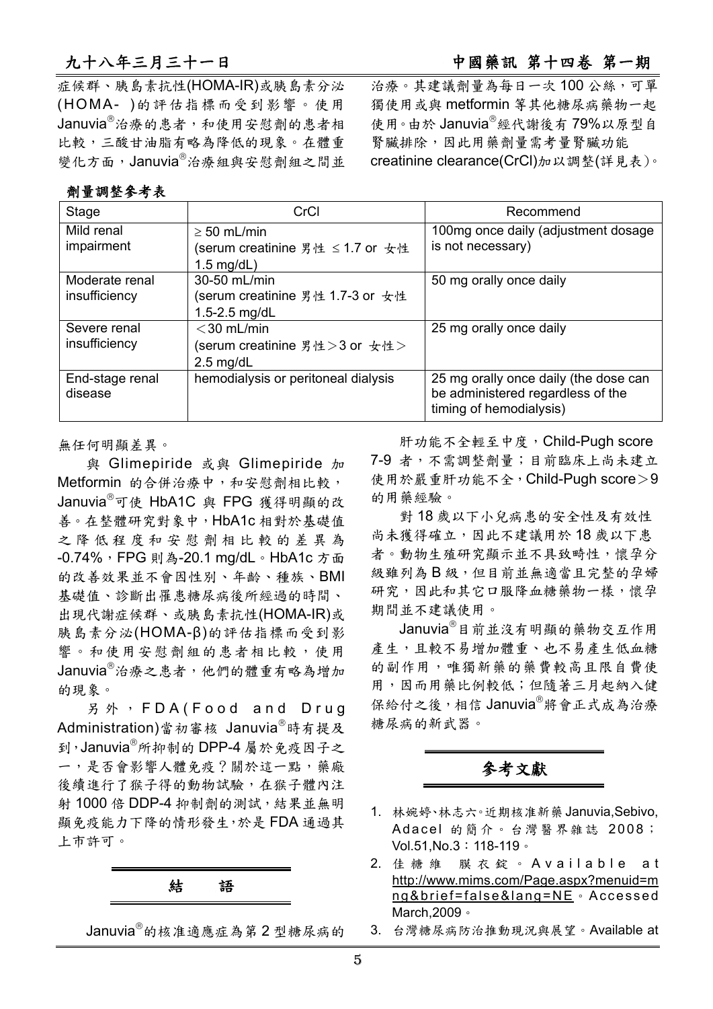九十八年三月三十一日 2000 2000 2000 2000 2000 2000 中國藥訊 第十四卷 第一期

症候群、胰島素抗性(HOMA-IR)或胰島素分泌 (HOMA- )的評估指標而受到影響。使用 Januvia<sup>®</sup>治療的患者,和使用安慰劑的患者相 比較,三酸甘油脂有略為降低的現象。在體重 變化方面,Januvia®治療組與安慰劑組之間並

### 劑量調整參考表

治療。其建議劑量為每日一次 100 公絲,可單 獨使用或與 metformin 等其他糖尿病藥物一起 使用。由於 Januvia®經代謝後有79%以原型自 腎臟排除,因此用藥劑量需考量腎臟功能 creatinine clearance(CrCl)加以調整(詳見表)。

| Stage                      | CrCl                                | Recommend                                                                                             |
|----------------------------|-------------------------------------|-------------------------------------------------------------------------------------------------------|
| Mild renal                 | $\geq$ 50 mL/min                    | 100mg once daily (adjustment dosage                                                                   |
| impairment                 | (serum creatinine 男性 ≤ 1.7 or 女性    | is not necessary)                                                                                     |
|                            | $1.5 \text{ mg/dL}$                 |                                                                                                       |
| Moderate renal             | 30-50 mL/min                        | 50 mg orally once daily                                                                               |
| insufficiency              | (serum creatinine 男性 1.7-3 or 女性    |                                                                                                       |
|                            | 1.5-2.5 mg/dL                       |                                                                                                       |
| Severe renal               | $<$ 30 mL/min                       | 25 mg orally once daily                                                                               |
| insufficiency              | (serum creatinine 男性>3 or 女性>       |                                                                                                       |
|                            | $2.5 \text{ mg/dL}$                 |                                                                                                       |
| End-stage renal<br>disease | hemodialysis or peritoneal dialysis | 25 mg orally once daily (the dose can<br>be administered regardless of the<br>timing of hemodialysis) |

無任何明顯差異。

與 Glimepiride 或與 Glimepiride 加 Metformin 的合併治療中,和安慰劑相比較, Januvia<sup>®</sup>可使 HbA1C 與 FPG 獲得明顯的改 善。在整體研究對象中,HbA1c 相對於基礎值 之降低程度和安慰劑相比較的差異為 -0.74%, FPG 則為-20.1 mg/dL。HbA1c 方面 的改善效果並不會因性別、年齡、種族、BMI 基礎值、診斷出罹患糖尿病後所經過的時間、 出現代謝症候群、或胰島素抗性(HOMA-IR)或 胰島素分泌(HOMA-β)的評估指標而受到影 響。和使用安慰劑組的患者相比較,使用 Januvia®治療之患者,他們的體重有略為增加 的現象。

另外, FDA ( Food and Drug Administration)當初審核 Januvia<sup>®</sup>時有提及 到,Januvia®所抑制的 DPP-4 屬於免疫因子之 一,是否會影響人體免疫?關於這一點,藥廠 後續進行了猴子得的動物試驗,在猴子體內注 射 1000 倍 DDP-4 抑制劑的測試,結果並無明 顯免疫能力下降的情形發生,於是 FDA 通過其 上市許可。



Januvia®的核准適應症為第 2 型糖尿病的

肝功能不全輕至中度,Child-Pugh score 7-9 者,不需調整劑量;目前臨床上尚未建立 使用於嚴重肝功能不全,Child-Pugh score>9 的用藥經驗。

對 18 歲以下小兒病患的安全性及有效性 尚未獲得確立,因此不建議用於18歲以下患 者。動物生殖研究顯示並不具致畸性,懷孕分 級雖列為 B 級,但目前並無適當且完整的孕婦 研究,因此和其它口服降血糖藥物一樣,懷孕 期間並不建議使用。

Januvia®目前並沒有明顯的藥物交互作用 產生,且較不易增加體重、也不易產生低血糖 的副作用,唯獨新藥的藥費較高且限自費使 用,因而用藥比例較低;但隨著三月起納入健 保給付之後,相信 Januvia®將會正式成為治療 糖尿病的新武器。

# 參考文獻

- 1. 林婉婷、林志六。近期核准新藥Januvia,Sebivo, Adacel 的簡介。台灣醫界雜誌 2008; Vol.51,No.3:118-119。
- 2. 佳糖維 膜衣錠。 A v a i l a b l e a t http://www.mims.com/Page.aspx?menuid=m ng&brief=false&lang=NE。Accessed March.2009。
- 3. 台灣糖尿病防治推動現況與展望。Available at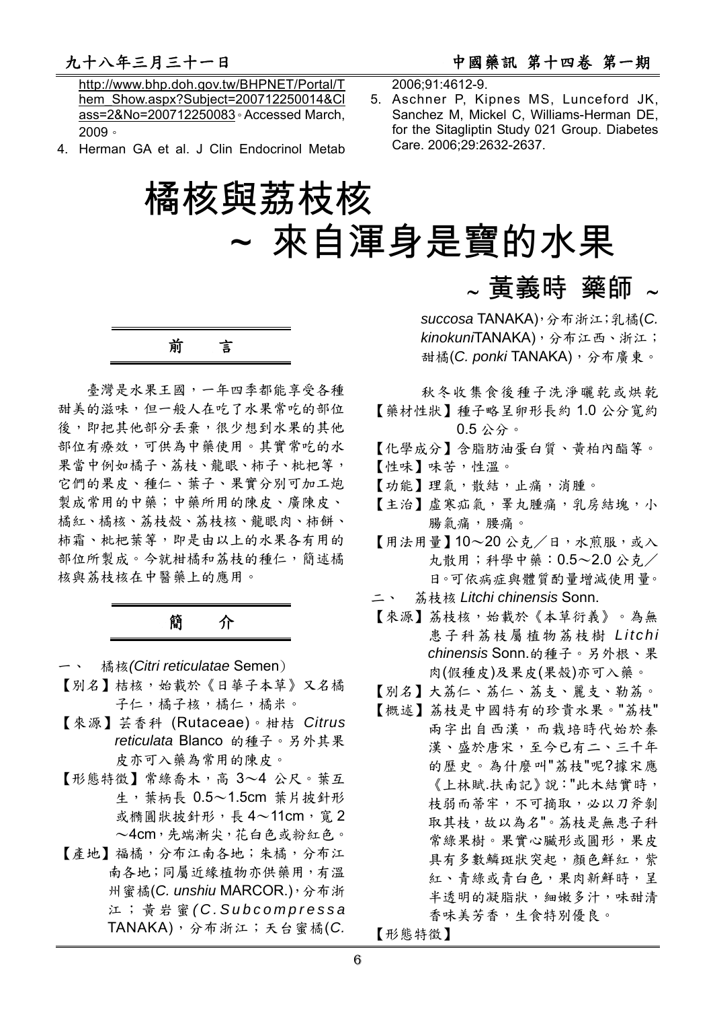http://www.bhp.doh.gov.tw/BHPNET/Portal/T hem\_Show.aspx?Subject=200712250014&Cl ass=2&No=200712250083。Accessed March, 2009。

4. Herman GA et al. J Clin Endocrinol Metab

2006;91:4612-9.

5. Aschner P, Kipnes MS, Lunceford JK, Sanchez M, Mickel C, Williams-Herman DE, for the Sitagliptin Study 021 Group. Diabetes Care. 2006;29:2632-2637.

# 橘核與荔枝核 ~ 來自渾身是寶的水果

前言

臺灣是水果王國,一年四季都能享受各種 甜美的滋味,但一般人在吃了水果常吃的部位 後,即把其他部分丢棄,很少想到水果的其他 部位有療效,可供為中藥使用。其實常吃的水 果當中例如橘子、荔枝、龍眼、柿子、枇杷等, 它們的果皮、種仁、葉子、果實分別可加工炮 製成常用的中藥;中藥所用的陳皮、廣陳皮、 橘紅、橘核、荔枝殼、荔枝核、龍眼肉、柿餅、 柿霜、枇杷葉等,即是由以上的水果各有用的 部位所製成。今就柑橘和荔枝的種仁,簡述橘 核與荔枝核在中醫藥上的應用。

## 簡介

- 一、 橘核*(Citri reticulatae* Semen)
- 【別名】桔核,始載於《日華子本草》又名橘 子仁,橘子核,橘仁,橘米。
- 【來源】芸香科 (Rutaceae)。柑桔 *Citrus reticulata* Blanco 的種子。另外其果 皮亦可入藥為常用的陳皮。
- 【形態特徵】常綠喬木,高 3~4 公尺。葉互  $\pm$ , 葉柄長 0.5~1.5cm 葉片披針形 或橢圓狀披針形,長 4~11cm,寬2 ~4cm,先端漸尖,花白色或粉紅色。
- 【產地】福橘,分布江南各地;朱橘,分布江 南各地;同屬近緣植物亦供藥用,有溫 州蜜橘(*C. unshiu* MARCOR.),分布浙 江;黃岩蜜 *( C . S u b c o m p r e s s a*  TANAKA),分布浙江;天台蜜橘(*C.*

∼ 黃義時 藥師 ∼

*succosa* TANAKA),分布浙江;乳橘(*C. kinokuni*TANAKA),分布江西、浙江; 甜橘(*C. ponki* TANAKA),分布廣東。

秋冬收集食後種子洗淨曬乾或烘乾 【藥材性狀】種子略呈卵形長約 1.0 公分寬約 0.5 公分。

- 【化學成分】含脂肪油蛋白質、黃柏內酯等。
- 【性味】味苦,性溫。
- 【功能】理氣,散結,止痛,消腫。
- 【主治】虛寒疝氣,睪丸腫痛,乳房結塊,小 腸氣痛,腰痛。
- 【用法用量】10~20 公克/日,水煎服,或入 丸散用;科學中藥:0.5~2.0 公克/ 日。可依病症與體質酌量增減使用量。
- 二、 荔枝核 *Litchi chinensis* Sonn.
- 【來源】荔枝核,始載於《本草衍義》。為無 患子科荔枝屬植物荔枝樹 *Litchi chinensis* Sonn.的種子。另外根、果 肉(假種皮)及果皮(果殼)亦可入藥。
- 【別名】大荔仁、荔仁、荔支、麗支、勒荔。
- 【概述】荔枝是中國特有的珍貴水果。"荔枝" 兩字出自西漢,而栽培時代始於秦 漢、盛於唐宋,至今已有二、三千年 的歷史。為什麼叫"荔枝"呢?據宋應 《上林賦.扶南記》說:"此木結實時, 枝弱而蒂牢,不可摘取,必以刀斧剝 取其枝,故以為名"。荔枝是無患子科 常綠果樹。果實心臟形或圓形,果皮 具有多數鱗斑狀突起,顏色鮮紅,紫 紅、青綠或青白色,果肉新鮮時,呈 半透明的凝脂狀,細嫩多汁,味甜清 香味美芳香,生食特別優良。

【形態特徵】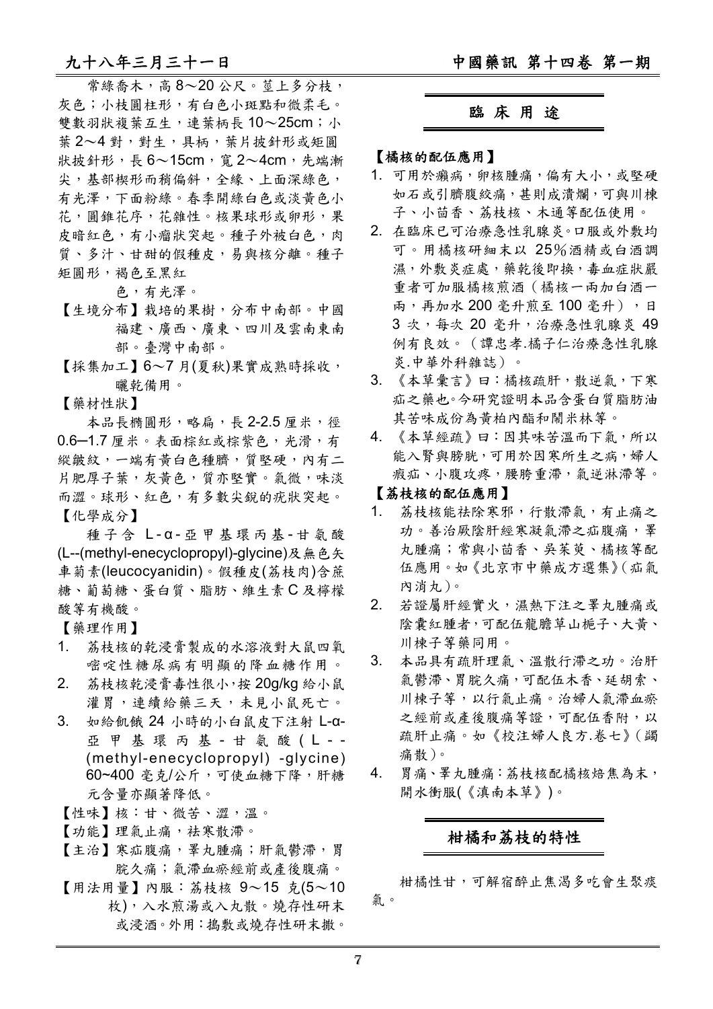常綠喬木,高 8~20 公尺。莖上多分枝, 灰色;小枝圓柱形,有白色小斑點和微柔毛。 雙數羽狀複葉互生,連葉柄長10~25cm;小 葉 2~4 對,對生,具柄,葉片披針形或矩圓 狀披針形,長 6~15cm,寬 2~4cm,先端漸 尖,基部楔形而稍偏斜,全緣、上面深綠色, 有光澤,下面粉綠。春季開綠白色或淡黃色小 花,圓錐花序,花雜性。核果球形或卵形,果 皮暗紅色,有小瘤狀突起。種子外被白色,肉 質、多汁、甘甜的假種皮,易與核分離。種子 矩圓形,褐色至黑紅

色,有光澤。

- 【生境分布】栽培的果樹,分布中南部。中國 福建、廣西、廣東、四川及雲南東南 部。臺灣中南部。
- 【採集加工】6~7 月(夏秋)果實成熟時採收, 曬乾備用。
- 【藥材性狀】

本品長橢圓形,略扁,長 2-2.5 厘米,徑 0.6─1.7 厘米。表面棕紅或棕紫色,光滑,有 縱皺紋,一端有黃白色種臍,質堅硬,內有二 片肥厚子葉,灰黃色,質亦堅實。氣微,味淡 而澀。球形、紅色,有多數尖銳的疣狀突起。 【化學成分】

種子含 L - α - 亞甲基環丙基 - 甘氨酸 (L--(methyl-enecyclopropyl)-glycine)及無色矢 車菊素(leucocyanidin)。假種皮(荔枝肉)含蔗 糖、葡萄糖、蛋白質、脂肪、維生素 C 及檸檬 酸等有機酸。

【藥理作用】

- 1. 荔枝核的乾浸膏製成的水溶液對大鼠四氧 嘧啶性糖尿病有明顯的降血糖作用。
- 2. 荔枝核乾浸膏毒性很小,按 20g/kg 給小鼠 灌胃,連續給藥三天,未見小鼠死亡。
- 3. 如給飢餓 24 小時的小白鼠皮下注射 L-α-亞甲基環丙基 - 甘氨酸 (L - -(methyl-enecyclopropyl) -glycine) 60~400 毫克/公斤,可使血糖下降,肝糖 元含量亦顯著降低。
- 【性味】核:甘、微苦、澀,溫。
- [功能] 理氣止痛,祛寒散滯。
- 【主治】寒疝腹痛,睪丸腫痛;肝氣鬱滯,胃 脘久痛;氣滯血瘀經前或產後腹痛。
- 【用法用量】內服:荔枝核 9~15 克(5~10 枚),入水煎湯或入丸散。燒存性研末 或浸酒。外用:搗敷或燒存性研末撒。

#### 臨 床 用 途

【橘核的配伍應用】

- 1. 可用於癩病,卵核腫痛,偏有大小,或堅硬 如石或引臍腹絞痛,甚則成潰爛,可與川棟 子、小茴香、荔枝核、木通等配伍使用。
- 2. 在臨床已可治療急性乳腺炎。口服或外敷均 可。用橘核研細末以 25%酒精或白酒調 濕,外敷炎症處,藥乾後即換,毒血症狀嚴 重者可加服橘核煎酒(橘核一兩加白酒一 兩,再加水 200 毫升煎至 100 毫升),日 3 次,每次 20 毫升,治療急性乳腺炎 49 例有良效。(譚忠孝.橘子仁治療急性乳腺 炎.中華外科雜誌)。
- 3. 《本草彙言》曰:橘核疏肝,散逆氣,下寒 疝之藥也。今研究證明本品含蛋白質脂肪油 其苦味成份為黃柏內酯和鬧米林等。
- 4. 《本草經疏》曰:因其味苦溫而下氣,所以 能入腎與膀胱,可用於因寒所生之病,婦人 瘕疝、小腹攻疼,腰胯重滯,氣逆淋滯等。

#### 【荔枝核的配伍應用】

- 1. 荔枝核能祛除寒邪,行散滯氣,有止痛之 功。善治厥陰肝經寒凝氣滯之疝腹痛, 睪 丸腫痛;常與小茴香、吳茱萸、橘核等配 伍應用。如《北京市中藥成方選集》(疝氣 內消丸)。
- 2. 若證屬肝經實火,濕熱下注之睪丸腫痛或 陰囊紅腫者,可配伍龍膽草山梔子、大黃、 川楝子等藥同用。
- 3. 本品具有疏肝理氣、溫散行滯之功。治肝 氣鬱滯、胃脘久痛,可配伍木香、延胡索、 川楝子等,以行氣止痛。治婦人氣滯血瘀 之經前或產後腹痛等證,可配伍香附,以 疏肝止痛。如《校注婦人良方.卷七》(蠲 痛散)。
- 4. 胃痛、睪丸腫痛: 荔枝核配橘核焙焦為末, 開水衝服(《滇南本草》)。

### 柑橘和荔枝的特性

柑橘性甘,可解宿醉止焦渴多吃會生聚痰 氣。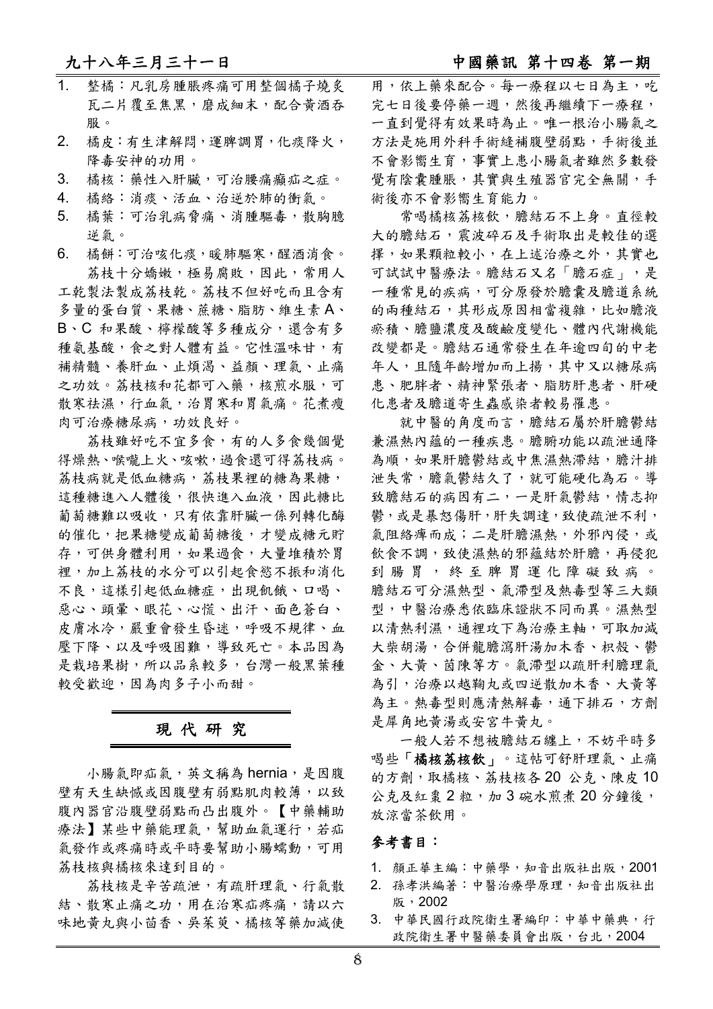#### 九十八年三月三十一日 2000 2000 2000 2000 2000 2000 中國藥訊 第十四卷 第一期

- 1. 整橘:凡乳房腫脹疼痛可用整個橘子燒炙 瓦二片覆至焦黑,磨成細末,配合黃酒吞 服。
- 2. 橘皮:有生津解悶,運脾調胃,化痰降火, 降毒安神的功用。
- 3. 橘核:藥性入肝臟,可治腰痛癲疝之症。

4. 橘絡:消痰、活血、治逆於肺的衝氣。

- 5. 橘葉:可治乳病脅痛、消腫驅毒,散胸臆 逆氣。
- 6. 橘餅:可治咳化痰,暖肺驅寒,醒酒消食。 荔枝十分嬌嫩,極易腐敗,因此,常用人 工乾製法製成荔枝乾。荔枝不但好吃而且含有 多量的蛋白質、果糖、蔗糖、脂肪、維生素 A、 B、C 和果酸、檸檬酸等多種成分,還含有多

種氨基酸,食之對人體有益。它性溫味甘,有 補精髓、養肝血、止煩渴、益顏、理氣、止痛 之功效。荔枝核和花都可入藥,核煎水服,可 散寒祛濕,行血氣,治胃寒和胃氣痛。花煮瘦 肉可治療糖尿病,功效良好。

荔枝雖好吃不宜多食,有的人多食幾個覺 得燥熱、喉嚨上火、咳嗽,過食還可得荔枝病。 荔枝病就是低血糖病,荔枝果裡的糖為果糖, 這種糖進入人體後,很快進入血液,因此糖比 葡萄糖難以吸收,只有依靠肝臟一係列轉化酶 的催化,把果糖變成葡萄糖後,才變成糖元貯 存,可供身體利用,如果過食,大量堆積於胃 裡,加上荔枝的水分可以引起食慾不振和消化 不良,這樣引起低血糖症,出現飢餓、口喝、 惡心、頭暈、眼花、心慌、出汗、面色蒼白、 皮膚冰冷,嚴重會發生昏迷,呼吸不規律、血 壓下降、以及呼吸困難,導致死亡。本品因為 是栽培果樹,所以品系較多,台灣一般黑葉種 較受歡迎,因為肉多子小而甜。

### 現 代 研 究

小腸氣即疝氣, 英文稱為 hernia, 是因腹 壁有天生缺憾或因腹壁有弱點肌肉較薄,以致 腹內器官沿腹壁弱點而凸出腹外。【中藥輔助 療法】某些中藥能理氣,幫助血氣運行,若疝 氣發作或疼痛時或平時要幫助小腸蠕動,可用 荔枝核與橘核來達到目的。

荔枝核是辛苦疏泄,有疏肝理氣、行氣散 結、散寒止痛之功,用在治寒疝疼痛,請以六 味地黃丸與小茴香、吳茱萸、橘核等藥加減使 用,依上藥來配合。每一療程以七日為主,吃 宗七日後要停藥一週,然後再繼續下一療程, 一直到覺得有效果時為止。唯一根治小腸氣之 方法是施用外科手術縫補腹壁弱點,手術後並 不會影嚮生育,事實上患小腸氣者雖然多數發 覺有陰囊腫脹,其實與生殖器官完全無關,手 術後亦不會影嚮生育能力。

常喝橘核荔核飲,膽結石不上身。直徑較 大的膽結石,震波碎石及手術取出是較佳的選 擇,如果顆粒較小,在上述治療之外,其實也 可試試中醫療法。膽結石又名「膽石症」,是 一種常見的疾病,可分原發於膽囊及膽道系統 的兩種結石,其形成原因相當複雜,比如膽液 瘀積、膽鹽濃度及酸鹼度變化、體內代謝機能 改變都是。膽結石通常發生在年逾四旬的中老 年人,且隨年齡增加而上揚,其中又以糖尿病 患、肥胖者、精神緊張者、脂肪肝患者、肝硬 化患者及膽道寄生蟲感染者較易罹患。

就中醫的角度而言,膽結石屬於肝膽鬱結 兼濕熱內蘊的一種疾患。膽腑功能以疏泄通降 為順,如果肝膽鬱結或中焦濕熱滯結,膽汁排 泄失常,膽氣鬱結久了,就可能硬化為石。導 致膽結石的病因有二,一是肝氣鬱結,情志抑 鬱,或是暴怒傷肝,肝失調達,致使疏泄不利, 氣阻絡痺而成;二是肝膽濕熱,外邪內侵,或 飲食不調,致使濕熱的邪蘊結於肝膽,再侵犯 到腸胃,終至脾胃運化障礙致病。 膽結石可分濕熱型、氣滯型及熱毒型等三大類 型,中醫治療悉依臨床證狀不同而異。濕熱型 以清熱利濕,通裡攻下為治療主軸,可取加減 大柴胡湯,合併龍膽瀉肝湯加木香、枳殼、鬱 金、大黃、茵陳等方。氣滯型以疏肝利膽理氣 為引,治療以越鞠丸或四逆散加木香、大黃等 為主。熱毒型則應清熱解毒,通下排石,方劑 是犀角地黃湯或安宮牛黃丸。

一般人若不想被膽結石纏上,不妨平時多 喝些「橘核荔核飲」。這帖可舒肝理氣、止痛 的方劑,取橘核、荔枝核各20公克、陳皮10 公克及紅棗 2 粒,加 3 碗水煎者 20 分鐘後, 放涼當茶飲用。

#### 參考書目:

- 1. 顔正華主編:中藥學,知音出版社出版,2001
- 2. 孫孝洪編著:中醫治療學原理,知音出版社出 版,2002
- 3. 中華民國行政院衛生署編印:中華中藥典,行 政院衛生署中醫藥委員會出版,台北,2004